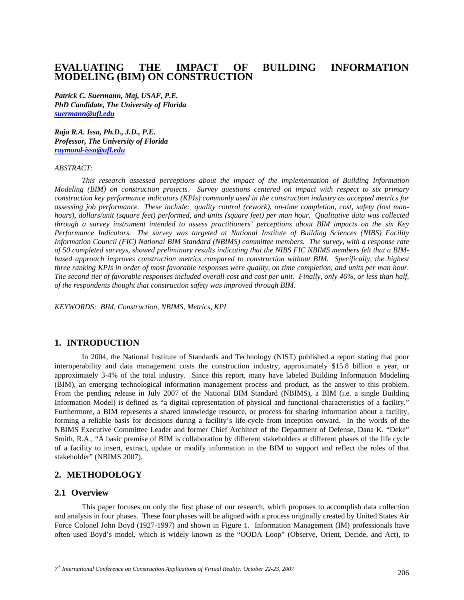# **EVALUATING THE IMPACT OF BUILDING INFORMATION MODELING (BIM) ON CONSTRUCTION**

*Patrick C. Suermann, Maj, USAF, P.E. PhD Candidate, The University of Florida suermann@ufl.edu* 

*Raja R.A. Issa, Ph.D., J.D., P.E. Professor, The University of Florida raymond-issa@ufl.edu*

#### *ABSTRACT:*

 *This research assessed perceptions about the impact of the implementation of Building Information Modeling (BIM) on construction projects. Survey questions centered on impact with respect to six primary construction key performance indicators (KPIs) commonly used in the construction industry as accepted metrics for assessing job performance. These include: quality control (rework), on-time completion, cost, safety (lost manhours), dollars/unit (square feet) performed, and units (square feet) per man hour. Qualitative data was collected through a survey instrument intended to assess practitioners' perceptions about BIM impacts on the six Key Performance Indicators. The survey was targeted at National Institute of Building Sciences (NIBS) Facility Information Council (FIC) National BIM Standard (NBIMS) committee members. The survey, with a response rate of 50 completed surveys, showed preliminary results indicating that the NIBS FIC NBIMS members felt that a BIMbased approach improves construction metrics compared to construction without BIM. Specifically, the highest three ranking KPIs in order of most favorable responses were quality, on time completion, and units per man hour. The second tier of favorable responses included overall cost and cost per unit. Finally, only 46%, or less than half, of the respondents thought that construction safety was improved through BIM.* 

*KEYWORDS: BIM, Construction, NBIMS, Metrics, KPI* 

# **1. INTRODUCTION**

 In 2004, the National Institute of Standards and Technology (NIST) published a report stating that poor interoperability and data management costs the construction industry, approximately \$15.8 billion a year, or approximately 3-4% of the total industry. Since this report, many have labeled Building Information Modeling (BIM), an emerging technological information management process and product, as the answer to this problem. From the pending release in July 2007 of the National BIM Standard (NBIMS), a BIM (i.e. a single Building Information Model) is defined as "a digital representation of physical and functional characteristics of a facility." Furthermore, a BIM represents a shared knowledge resource, or process for sharing information about a facility, forming a reliable basis for decisions during a facility's life-cycle from inception onward. In the words of the NBIMS Executive Committee Leader and former Chief Architect of the Department of Defense, Dana K. "Deke" Smith, R.A., "A basic premise of BIM is collaboration by different stakeholders at different phases of the life cycle of a facility to insert, extract, update or modify information in the BIM to support and reflect the roles of that stakeholder" (NBIMS 2007).

# **2. METHODOLOGY**

#### **2.1 Overview**

 This paper focuses on only the first phase of our research, which proposes to accomplish data collection and analysis in four phases. These four phases will be aligned with a process originally created by United States Air Force Colonel John Boyd (1927-1997) and shown in Figure 1. Information Management (IM) professionals have often used Boyd's model, which is widely known as the "OODA Loop" (Observe, Orient, Decide, and Act), to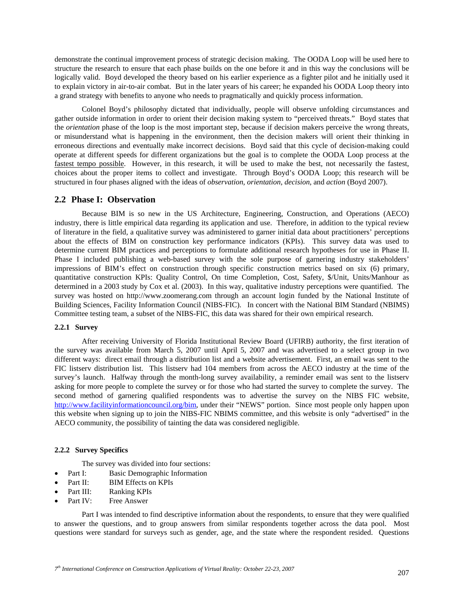demonstrate the continual improvement process of strategic decision making. The OODA Loop will be used here to structure the research to ensure that each phase builds on the one before it and in this way the conclusions will be logically valid. Boyd developed the theory based on his earlier experience as a fighter pilot and he initially used it to explain victory in air-to-air combat. But in the later years of his career; he expanded his OODA Loop theory into a grand strategy with benefits to anyone who needs to pragmatically and quickly process information.

 Colonel Boyd's philosophy dictated that individually, people will observe unfolding circumstances and gather outside information in order to orient their decision making system to "perceived threats." Boyd states that the *orientation* phase of the loop is the most important step, because if decision makers perceive the wrong threats, or misunderstand what is happening in the environment, then the decision makers will orient their thinking in erroneous directions and eventually make incorrect decisions. Boyd said that this cycle of decision-making could operate at different speeds for different organizations but the goal is to complete the OODA Loop process at the fastest tempo possible. However, in this research, it will be used to make the best, not necessarily the fastest, choices about the proper items to collect and investigate. Through Boyd's OODA Loop; this research will be structured in four phases aligned with the ideas of *observation*, *orientation*, *decision*, and *action* (Boyd 2007).

#### **2.2 Phase I: Observation**

 Because BIM is so new in the US Architecture, Engineering, Construction, and Operations (AECO) industry, there is little empirical data regarding its application and use. Therefore, in addition to the typical review of literature in the field, a qualitative survey was administered to garner initial data about practitioners' perceptions about the effects of BIM on construction key performance indicators (KPIs). This survey data was used to determine current BIM practices and perceptions to formulate additional research hypotheses for use in Phase II. Phase I included publishing a web-based survey with the sole purpose of garnering industry stakeholders' impressions of BIM's effect on construction through specific construction metrics based on six (6) primary, quantitative construction KPIs: Quality Control, On time Completion, Cost, Safety, \$/Unit, Units/Manhour as determined in a 2003 study by Cox et al. (2003). In this way, qualitative industry perceptions were quantified. The survey was hosted on http://www.zoomerang.com through an account login funded by the National Institute of Building Sciences, Facility Information Council (NIBS-FIC). In concert with the National BIM Standard (NBIMS) Committee testing team, a subset of the NIBS-FIC, this data was shared for their own empirical research.

#### **2.2.1 Survey**

 After receiving University of Florida Institutional Review Board (UFIRB) authority, the first iteration of the survey was available from March 5, 2007 until April 5, 2007 and was advertised to a select group in two different ways: direct email through a distribution list and a website advertisement. First, an email was sent to the FIC listserv distribution list. This listserv had 104 members from across the AECO industry at the time of the survey's launch. Halfway through the month-long survey availability, a reminder email was sent to the listserv asking for more people to complete the survey or for those who had started the survey to complete the survey. The second method of garnering qualified respondents was to advertise the survey on the NIBS FIC website, http://www.facilityinformationcouncil.org/bim, under their "NEWS" portion. Since most people only happen upon this website when signing up to join the NIBS-FIC NBIMS committee, and this website is only "advertised" in the AECO community, the possibility of tainting the data was considered negligible.

#### **2.2.2 Survey Specifics**

The survey was divided into four sections:

- Part I: Basic Demographic Information
- Part II: BIM Effects on KPIs
- Part III: Ranking KPIs
- Part IV: Free Answer

 Part I was intended to find descriptive information about the respondents, to ensure that they were qualified to answer the questions, and to group answers from similar respondents together across the data pool. Most questions were standard for surveys such as gender, age, and the state where the respondent resided. Questions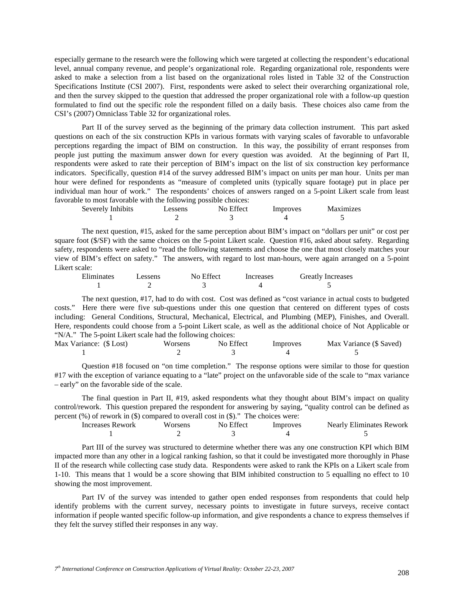especially germane to the research were the following which were targeted at collecting the respondent's educational level, annual company revenue, and people's organizational role. Regarding organizational role, respondents were asked to make a selection from a list based on the organizational roles listed in Table 32 of the Construction Specifications Institute (CSI 2007). First, respondents were asked to select their overarching organizational role, and then the survey skipped to the question that addressed the proper organizational role with a follow-up question formulated to find out the specific role the respondent filled on a daily basis. These choices also came from the CSI's (2007) Omniclass Table 32 for organizational roles.

 Part II of the survey served as the beginning of the primary data collection instrument. This part asked questions on each of the six construction KPIs in various formats with varying scales of favorable to unfavorable perceptions regarding the impact of BIM on construction. In this way, the possibility of errant responses from people just putting the maximum answer down for every question was avoided. At the beginning of Part II, respondents were asked to rate their perception of BIM's impact on the list of six construction key performance indicators. Specifically, question #14 of the survey addressed BIM's impact on units per man hour. Units per man hour were defined for respondents as "measure of completed units (typically square footage) put in place per individual man hour of work." The respondents' choices of answers ranged on a 5-point Likert scale from least favorable to most favorable with the following possible choices:

| Severely Inhibits | Lessens | No Effect | Improves | <b>Maximizes</b> |
|-------------------|---------|-----------|----------|------------------|
|                   |         |           |          |                  |

 The next question, #15, asked for the same perception about BIM's impact on "dollars per unit" or cost per square foot (\$/SF) with the same choices on the 5-point Likert scale. Question #16, asked about safety. Regarding safety, respondents were asked to "read the following statements and choose the one that most closely matches your view of BIM's effect on safety." The answers, with regard to lost man-hours, were again arranged on a 5-point Likert scale:

| Eliminates | essens | No Effect | Increases | <b>Greatly Increases</b> |
|------------|--------|-----------|-----------|--------------------------|
|            |        |           |           |                          |

 The next question, #17, had to do with cost. Cost was defined as "cost variance in actual costs to budgeted costs." Here there were five sub-questions under this one question that centered on different types of costs including: General Conditions, Structural, Mechanical, Electrical, and Plumbing (MEP), Finishes, and Overall. Here, respondents could choose from a 5-point Likert scale, as well as the additional choice of Not Applicable or "N/A." The 5-point Likert scale had the following choices:

| Max Variance: (\$ Lost) | Worsens | No Effect | Improves | Max Variance (\$ Saved) |
|-------------------------|---------|-----------|----------|-------------------------|
|                         |         |           |          |                         |

 Question #18 focused on "on time completion." The response options were similar to those for question #17 with the exception of variance equating to a "late" project on the unfavorable side of the scale to "max variance" – early" on the favorable side of the scale.

 The final question in Part II, #19, asked respondents what they thought about BIM's impact on quality control/rework. This question prepared the respondent for answering by saying, "quality control can be defined as percent (%) of rework in (\$) compared to overall cost in (\$)." The choices were:

| Increases Rework | Worsens | No Effect | 'mproves | <b>Nearly Eliminates Rework</b> |
|------------------|---------|-----------|----------|---------------------------------|
|                  |         |           |          |                                 |

 Part III of the survey was structured to determine whether there was any one construction KPI which BIM impacted more than any other in a logical ranking fashion, so that it could be investigated more thoroughly in Phase II of the research while collecting case study data. Respondents were asked to rank the KPIs on a Likert scale from 1-10. This means that 1 would be a score showing that BIM inhibited construction to 5 equalling no effect to 10 showing the most improvement.

 Part IV of the survey was intended to gather open ended responses from respondents that could help identify problems with the current survey, necessary points to investigate in future surveys, receive contact information if people wanted specific follow-up information, and give respondents a chance to express themselves if they felt the survey stifled their responses in any way.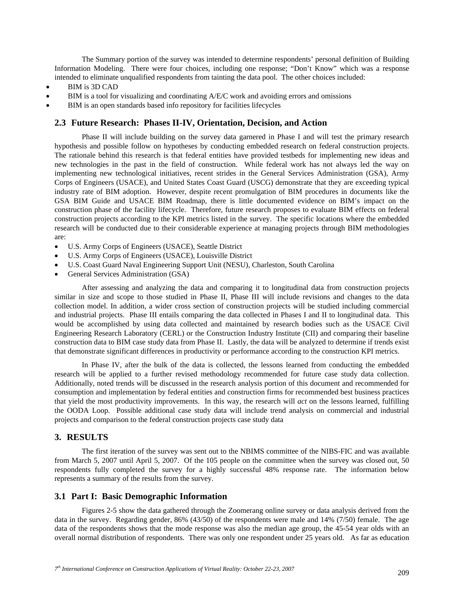The Summary portion of the survey was intended to determine respondents' personal definition of Building Information Modeling. There were four choices, including one response; "Don't Know" which was a response intended to eliminate unqualified respondents from tainting the data pool. The other choices included:

- BIM is 3D CAD
- BIM is a tool for visualizing and coordinating A/E/C work and avoiding errors and omissions
- BIM is an open standards based info repository for facilities lifecycles

#### **2.3 Future Research: Phases II-IV, Orientation, Decision, and Action**

 Phase II will include building on the survey data garnered in Phase I and will test the primary research hypothesis and possible follow on hypotheses by conducting embedded research on federal construction projects. The rationale behind this research is that federal entities have provided testbeds for implementing new ideas and new technologies in the past in the field of construction. While federal work has not always led the way on implementing new technological initiatives, recent strides in the General Services Administration (GSA), Army Corps of Engineers (USACE), and United States Coast Guard (USCG) demonstrate that they are exceeding typical industry rate of BIM adoption. However, despite recent promulgation of BIM procedures in documents like the GSA BIM Guide and USACE BIM Roadmap, there is little documented evidence on BIM's impact on the construction phase of the facility lifecycle. Therefore, future research proposes to evaluate BIM effects on federal construction projects according to the KPI metrics listed in the survey. The specific locations where the embedded research will be conducted due to their considerable experience at managing projects through BIM methodologies are:

- U.S. Army Corps of Engineers (USACE), Seattle District
- U.S. Army Corps of Engineers (USACE), Louisville District
- U.S. Coast Guard Naval Engineering Support Unit (NESU), Charleston, South Carolina
- General Services Administration (GSA)

 After assessing and analyzing the data and comparing it to longitudinal data from construction projects similar in size and scope to those studied in Phase II, Phase III will include revisions and changes to the data collection model. In addition, a wider cross section of construction projects will be studied including commercial and industrial projects. Phase III entails comparing the data collected in Phases I and II to longitudinal data. This would be accomplished by using data collected and maintained by research bodies such as the USACE Civil Engineering Research Laboratory (CERL) or the Construction Industry Institute (CII) and comparing their baseline construction data to BIM case study data from Phase II. Lastly, the data will be analyzed to determine if trends exist that demonstrate significant differences in productivity or performance according to the construction KPI metrics.

 In Phase IV, after the bulk of the data is collected, the lessons learned from conducting the embedded research will be applied to a further revised methodology recommended for future case study data collection. Additionally, noted trends will be discussed in the research analysis portion of this document and recommended for consumption and implementation by federal entities and construction firms for recommended best business practices that yield the most productivity improvements. In this way, the research will *act* on the lessons learned, fulfilling the OODA Loop. Possible additional case study data will include trend analysis on commercial and industrial projects and comparison to the federal construction projects case study data

### **3. RESULTS**

 The first iteration of the survey was sent out to the NBIMS committee of the NIBS-FIC and was available from March 5, 2007 until April 5, 2007. Of the 105 people on the committee when the survey was closed out, 50 respondents fully completed the survey for a highly successful 48% response rate. The information below represents a summary of the results from the survey.

## **3.1 Part I: Basic Demographic Information**

 Figures 2-5 show the data gathered through the Zoomerang online survey or data analysis derived from the data in the survey. Regarding gender, 86% (43/50) of the respondents were male and 14% (7/50) female. The age data of the respondents shows that the mode response was also the median age group, the 45-54 year olds with an overall normal distribution of respondents. There was only one respondent under 25 years old. As far as education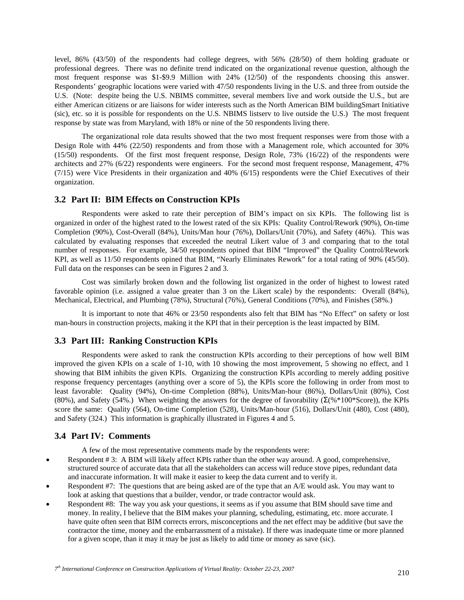level, 86% (43/50) of the respondents had college degrees, with 56% (28/50) of them holding graduate or professional degrees. There was no definite trend indicated on the organizational revenue question, although the most frequent response was \$1-\$9.9 Million with 24% (12/50) of the respondents choosing this answer. Respondents' geographic locations were varied with 47/50 respondents living in the U.S. and three from outside the U.S. (Note: despite being the U.S. NBIMS committee, several members live and work outside the U.S., but are either American citizens or are liaisons for wider interests such as the North American BIM buildingSmart Initiative (sic), etc. so it is possible for respondents on the U.S. NBIMS listserv to live outside the U.S.) The most frequent response by state was from Maryland, with 18% or nine of the 50 respondents living there.

 The organizational role data results showed that the two most frequent responses were from those with a Design Role with 44% (22/50) respondents and from those with a Management role, which accounted for 30% (15/50) respondents. Of the first most frequent response, Design Role, 73% (16/22) of the respondents were architects and 27% (6/22) respondents were engineers. For the second most frequent response, Management, 47% (7/15) were Vice Presidents in their organization and 40% (6/15) respondents were the Chief Executives of their organization.

## **3.2 Part II: BIM Effects on Construction KPIs**

 Respondents were asked to rate their perception of BIM's impact on six KPIs. The following list is organized in order of the highest rated to the lowest rated of the six KPIs: Quality Control/Rework (90%), On-time Completion (90%), Cost-Overall (84%), Units/Man hour (76%), Dollars/Unit (70%), and Safety (46%). This was calculated by evaluating responses that exceeded the neutral Likert value of 3 and comparing that to the total number of responses. For example, 34/50 respondents opined that BIM "Improved" the Quality Control/Rework KPI, as well as 11/50 respondents opined that BIM, "Nearly Eliminates Rework" for a total rating of 90% (45/50). Full data on the responses can be seen in Figures 2 and 3.

 Cost was similarly broken down and the following list organized in the order of highest to lowest rated favorable opinion (i.e. assigned a value greater than 3 on the Likert scale) by the respondents: Overall (84%), Mechanical, Electrical, and Plumbing (78%), Structural (76%), General Conditions (70%), and Finishes (58%.)

 It is important to note that 46% or 23/50 respondents also felt that BIM has "No Effect" on safety or lost man-hours in construction projects, making it the KPI that in their perception is the least impacted by BIM.

#### **3.3 Part III: Ranking Construction KPIs**

 Respondents were asked to rank the construction KPIs according to their perceptions of how well BIM improved the given KPIs on a scale of 1-10, with 10 showing the most improvement, 5 showing no effect, and 1 showing that BIM inhibits the given KPIs. Organizing the construction KPIs according to merely adding positive response frequency percentages (anything over a score of 5), the KPIs score the following in order from most to least favorable: Quality (94%), On-time Completion (88%), Units/Man-hour (86%), Dollars/Unit (80%), Cost (80%), and Safety (54%.) When weighting the answers for the degree of favorability (Σ(%\*100\*Score)), the KPIs score the same: Quality (564), On-time Completion (528), Units/Man-hour (516), Dollars/Unit (480), Cost (480), and Safety (324.) This information is graphically illustrated in Figures 4 and 5.

#### **3.4 Part IV: Comments**

A few of the most representative comments made by the respondents were:

- Respondent # 3: A BIM will likely affect KPIs rather than the other way around. A good, comprehensive, structured source of accurate data that all the stakeholders can access will reduce stove pipes, redundant data and inaccurate information. It will make it easier to keep the data current and to verify it.
- Respondent #7: The questions that are being asked are of the type that an A/E would ask. You may want to look at asking that questions that a builder, vendor, or trade contractor would ask.
- Respondent #8: The way you ask your questions, it seems as if you assume that BIM should save time and money. In reality, I believe that the BIM makes your planning, scheduling, estimating, etc. more accurate. I have quite often seen that BIM corrects errors, misconceptions and the net effect may be additive (but save the contractor the time, money and the embarrassment of a mistake). If there was inadequate time or more planned for a given scope, than it may it may be just as likely to add time or money as save (sic).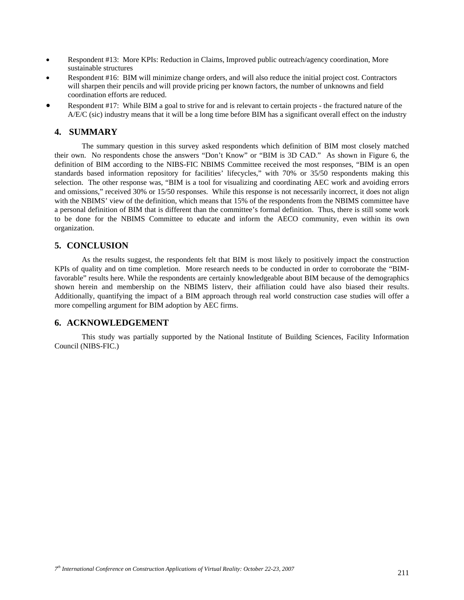- Respondent #13: More KPIs: Reduction in Claims, Improved public outreach/agency coordination, More sustainable structures
- Respondent #16: BIM will minimize change orders, and will also reduce the initial project cost. Contractors will sharpen their pencils and will provide pricing per known factors, the number of unknowns and field coordination efforts are reduced.
- Respondent #17: While BIM a goal to strive for and is relevant to certain projects the fractured nature of the A/E/C (sic) industry means that it will be a long time before BIM has a significant overall effect on the industry

## **4. SUMMARY**

 The summary question in this survey asked respondents which definition of BIM most closely matched their own. No respondents chose the answers "Don't Know" or "BIM is 3D CAD." As shown in Figure 6, the definition of BIM according to the NIBS-FIC NBIMS Committee received the most responses, "BIM is an open standards based information repository for facilities' lifecycles," with 70% or 35/50 respondents making this selection. The other response was, "BIM is a tool for visualizing and coordinating AEC work and avoiding errors and omissions," received 30% or 15/50 responses. While this response is not necessarily incorrect, it does not align with the NBIMS' view of the definition, which means that 15% of the respondents from the NBIMS committee have a personal definition of BIM that is different than the committee's formal definition. Thus, there is still some work to be done for the NBIMS Committee to educate and inform the AECO community, even within its own organization.

# **5. CONCLUSION**

 As the results suggest, the respondents felt that BIM is most likely to positively impact the construction KPIs of quality and on time completion. More research needs to be conducted in order to corroborate the "BIMfavorable" results here. While the respondents are certainly knowledgeable about BIM because of the demographics shown herein and membership on the NBIMS listerv, their affiliation could have also biased their results. Additionally, quantifying the impact of a BIM approach through real world construction case studies will offer a more compelling argument for BIM adoption by AEC firms.

# **6. ACKNOWLEDGEMENT**

 This study was partially supported by the National Institute of Building Sciences, Facility Information Council (NIBS-FIC.)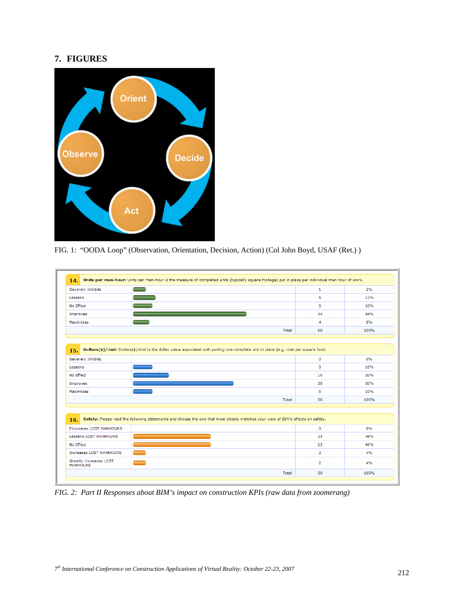# **7. FIGURES**



FIG. 1: "OODA Loop" (Observation, Orientation, Decision, Action) (Col John Boyd, USAF (Ret.) )

| Severely Inhibits                         |                                                                                                                                       | $\mathbf{1}$   | 2%    |
|-------------------------------------------|---------------------------------------------------------------------------------------------------------------------------------------|----------------|-------|
| Lessens                                   |                                                                                                                                       | 6              | 12%   |
| No Effect                                 |                                                                                                                                       | 5              | 10%   |
| Improves                                  |                                                                                                                                       | 34             | 68%   |
| Maximizes                                 |                                                                                                                                       | 4              | 8%    |
|                                           | Total                                                                                                                                 | 50             | 100%  |
|                                           |                                                                                                                                       |                |       |
| 15.                                       | Dollars(\$)/Unit: Dollars(\$)/Unit is the dollar value associated with putting one complete unit in place (e.g. cost per square foot) |                |       |
| Severely Inhibits                         |                                                                                                                                       | $\circ$        | $0\%$ |
| Lessens                                   |                                                                                                                                       | 5              | 10%   |
| No Effect                                 |                                                                                                                                       | 10             | 20%   |
| Improves                                  |                                                                                                                                       | 30             | 60%   |
| Maximizes                                 |                                                                                                                                       | 5              | 10%   |
|                                           | Total                                                                                                                                 | 50             | 100%  |
|                                           |                                                                                                                                       |                |       |
| 16.                                       | Safety: Please read the following statements and choose the one that most closely matches your view of BIM's effects on safety.       |                |       |
| Eliminates LOST MANHOURS                  |                                                                                                                                       | $\mathbf{0}$   | $0\%$ |
| <b>Lessens LOST MANHOURS</b>              |                                                                                                                                       | 23             | 46%   |
| No Effect                                 |                                                                                                                                       | 23             | 46%   |
| <b>Increases LOST MANHOURS</b>            |                                                                                                                                       | $\overline{2}$ | 4%    |
| Greatly Increases LOST<br><b>MANHOURS</b> |                                                                                                                                       | $\overline{2}$ | 4%    |
|                                           |                                                                                                                                       |                |       |

*FIG. 2: Part II Responses about BIM's impact on construction KPIs (raw data from zoomerang)*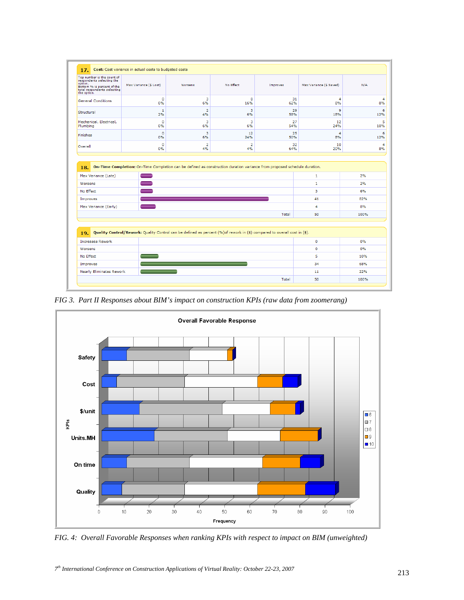| Top number is the count of<br>respondents selecting the<br>option.<br>Bottom % is percent of the<br>total respondents selecting<br>the option. | Max Variance (\$ Lost)                                                                                                        | Worsens              | No Effect            | Improves  | Max Variance (\$ Saved) | N/A             |
|------------------------------------------------------------------------------------------------------------------------------------------------|-------------------------------------------------------------------------------------------------------------------------------|----------------------|----------------------|-----------|-------------------------|-----------------|
| <b>General Conditions</b>                                                                                                                      | $\Omega$<br>0%                                                                                                                | 3<br>6%              | 8<br>16%             | 31<br>62% | 4<br>8%                 |                 |
| Structural                                                                                                                                     | 1<br>2%                                                                                                                       | $\overline{2}$<br>4% | 3<br>6%              | 29<br>58% | q<br>18%                | 12%             |
| Mechanical, Electrical,<br>Plumbing                                                                                                            | $\circ$<br>0%                                                                                                                 | 3<br>6%              | 3<br>6%              | 27<br>54% | 12<br>24%               | 10%             |
| Finishes                                                                                                                                       | $\circ$<br>0%                                                                                                                 | 3<br>6%              | 12<br>24%            | 25<br>50% | $\overline{a}$<br>8%    | 12%             |
| Overall                                                                                                                                        | $\circ$<br>0%                                                                                                                 | $\overline{2}$<br>4% | $\overline{2}$<br>4% | 32<br>64% | 10<br>20%               | 8%              |
|                                                                                                                                                | On-Time Completion: On-Time Completion can be defined as construction duration variance from proposed schedule duration.<br>- |                      |                      |           | 1<br>1                  | 2%<br>2%        |
| 18.<br>Max Variance (Late)<br>Worsens<br>No Effect<br>Improves<br>Max Variance (Early)                                                         | -                                                                                                                             |                      |                      |           | з<br>41<br>4            | 6%<br>82%<br>8% |
|                                                                                                                                                |                                                                                                                               |                      |                      | Total     | 50                      | 100%            |
| 19.                                                                                                                                            | Quality Control/Rework: Quality Control can be defined as percent (%) of rework in (\$) compared to overall cost in (\$).     |                      |                      |           |                         |                 |
| <b>Increases Rework</b>                                                                                                                        |                                                                                                                               |                      |                      |           | $\mathbf{O}$            | 0%              |
| Worsens                                                                                                                                        |                                                                                                                               |                      |                      |           | o                       | 0%              |
|                                                                                                                                                |                                                                                                                               |                      |                      |           | 5                       | 10%             |
| No Effect                                                                                                                                      |                                                                                                                               |                      |                      |           | 34                      | 68%             |
| Improves<br><b>Nearly Eliminates Rework</b>                                                                                                    |                                                                                                                               |                      |                      |           | 11                      | 22%             |

*FIG 3. Part II Responses about BIM's impact on construction KPIs (raw data from zoomerang)* 



*FIG. 4: Overall Favorable Responses when ranking KPIs with respect to impact on BIM (unweighted)*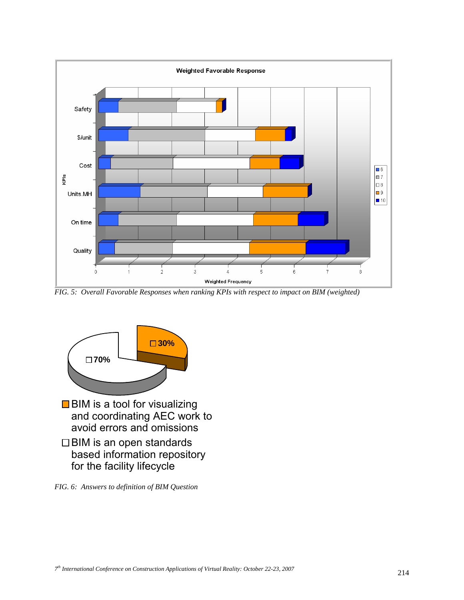

*FIG. 5: Overall Favorable Responses when ranking KPIs with respect to impact on BIM (weighted)* 



*FIG. 6: Answers to definition of BIM Question*